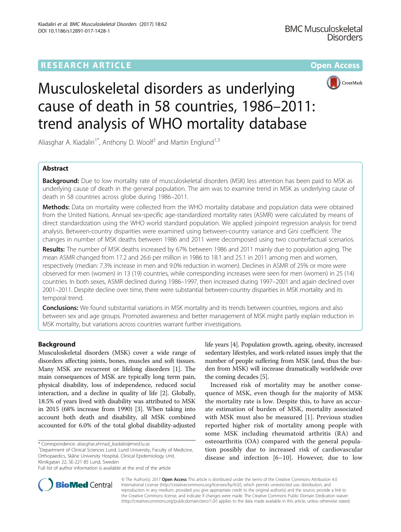# **RESEARCH ARTICLE Example 2014 12:30 The Contract of Contract ACCESS**



# Musculoskeletal disorders as underlying cause of death in 58 countries, 1986–2011: trend analysis of WHO mortality database

Aliasghar A. Kiadaliri<sup>1\*</sup>, Anthony D. Woolf<sup>2</sup> and Martin Englund<sup>1,3</sup>

# Abstract

**Background:** Due to low mortality rate of musculoskeletal disorders (MSK) less attention has been paid to MSK as underlying cause of death in the general population. The aim was to examine trend in MSK as underlying cause of death in 58 countries across globe during 1986–2011.

**Methods:** Data on mortality were collected from the WHO mortality database and population data were obtained from the United Nations. Annual sex-specific age-standardized mortality rates (ASMR) were calculated by means of direct standardization using the WHO world standard population. We applied joinpoint regression analysis for trend analysis. Between-country disparities were examined using between-country variance and Gini coefficient. The changes in number of MSK deaths between 1986 and 2011 were decomposed using two counterfactual scenarios.

Results: The number of MSK deaths increased by 67% between 1986 and 2011 mainly due to population aging. The mean ASMR changed from 17.2 and 26.6 per million in 1986 to 18.1 and 25.1 in 2011 among men and women, respectively (median: 7.3% increase in men and 9.0% reduction in women). Declines in ASMR of 25% or more were observed for men (women) in 13 (19) countries, while corresponding increases were seen for men (women) in 25 (14) countries. In both sexes, ASMR declined during 1986–1997, then increased during 1997–2001 and again declined over 2001–2011. Despite decline over time, there were substantial between-country disparities in MSK mortality and its temporal trend.

Conclusions: We found substantial variations in MSK mortality and its trends between countries, regions and also between sex and age groups. Promoted awareness and better management of MSK might partly explain reduction in MSK mortality, but variations across countries warrant further investigations.

# Background

Musculoskeletal disorders (MSK) cover a wide range of disorders affecting joints, bones, muscles and soft tissues. Many MSK are recurrent or lifelong disorders [\[1\]](#page-10-0). The main consequences of MSK are typically long term pain, physical disability, loss of independence, reduced social interaction, and a decline in quality of life [\[2\]](#page-10-0). Globally, 18.5% of years lived with disability was attributed to MSK in 2015 (68% increase from 1990) [[3\]](#page-10-0). When taking into account both death and disability, all MSK combined accounted for 6.0% of the total global disability-adjusted

<sup>1</sup>Department of Clinical Sciences Lund, Lund University, Faculty of Medicine, Orthopaedics, Skåne University Hospital, Clinical Epidemiology Unit, Klinikgatan 22, SE-221 85 Lund, Sweden

life years [[4](#page-10-0)]. Population growth, ageing, obesity, increased sedentary lifestyles, and work-related issues imply that the number of people suffering from MSK (and, thus the burden from MSK) will increase dramatically worldwide over the coming decades [[5](#page-10-0)].

Increased risk of mortality may be another consequence of MSK, even though for the majority of MSK the mortality rate is low. Despite this, to have an accurate estimation of burden of MSK, mortality associated with MSK must also be measured [\[1](#page-10-0)]. Previous studies reported higher risk of mortality among people with some MSK including rheumatoid arthritis (RA) and osteoarthritis (OA) compared with the general population possibly due to increased risk of cardiovascular disease and infection [[6](#page-10-0)–[10\]](#page-10-0). However, due to low



© The Author(s). 2017 **Open Access** This article is distributed under the terms of the Creative Commons Attribution 4.0 International License [\(http://creativecommons.org/licenses/by/4.0/](http://creativecommons.org/licenses/by/4.0/)), which permits unrestricted use, distribution, and reproduction in any medium, provided you give appropriate credit to the original author(s) and the source, provide a link to the Creative Commons license, and indicate if changes were made. The Creative Commons Public Domain Dedication waiver [\(http://creativecommons.org/publicdomain/zero/1.0/](http://creativecommons.org/publicdomain/zero/1.0/)) applies to the data made available in this article, unless otherwise stated.

<sup>\*</sup> Correspondence: [aliasghar.ahmad\\_kiadaliri@med.lu.se](mailto:aliasghar.ahmad_kiadaliri@med.lu.se) <sup>1</sup>

Full list of author information is available at the end of the article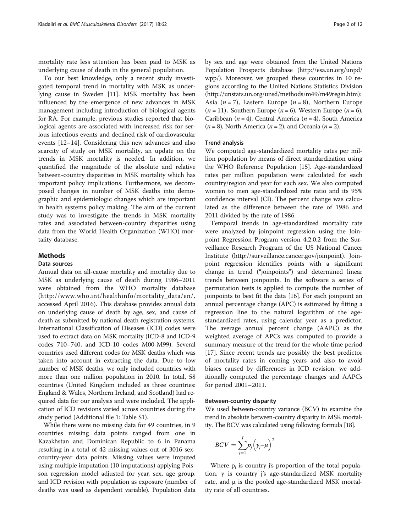mortality rate less attention has been paid to MSK as underlying cause of death in the general population.

To our best knowledge, only a recent study investigated temporal trend in mortality with MSK as underlying cause in Sweden [[11\]](#page-10-0). MSK mortality has been influenced by the emergence of new advances in MSK management including introduction of biological agents for RA. For example, previous studies reported that biological agents are associated with increased risk for serious infectious events and declined risk of cardiovascular events [\[12](#page-10-0)–[14\]](#page-11-0). Considering this new advances and also scarcity of study on MSK mortality, an update on the trends in MSK mortality is needed. In addition, we quantified the magnitude of the absolute and relative between-country disparities in MSK mortality which has important policy implications. Furthermore, we decomposed changes in number of MSK deaths into demographic and epidemiologic changes which are important in health systems policy making. The aim of the current study was to investigate the trends in MSK mortality rates and associated between-country disparities using data from the World Health Organization (WHO) mortality database.

## Methods

#### Data sources

Annual data on all-cause mortality and mortality due to MSK as underlying cause of death during 1986–2011 were obtained from the WHO mortality database ([http://www.who.int/healthinfo/mortality\\_data/en/,](http://www.who.int/healthinfo/mortality_data/en/) accessed April 2016). This database provides annual data on underlying cause of death by age, sex, and cause of death as submitted by national death registration systems. International Classification of Diseases (ICD) codes were used to extract data on MSK mortality (ICD-8 and ICD-9 codes 710–740, and ICD-10 codes M00-M99). Several countries used different codes for MSK deaths which was taken into account in extracting the data. Due to low number of MSK deaths, we only included countries with more than one million population in 2010. In total, 58 countries (United Kingdom included as three countries: England & Wales, Northern Ireland, and Scotland) had required data for our analysis and were included. The application of ICD revisions varied across countries during the study period (Additional file [1](#page-10-0): Table S1).

While there were no missing data for 49 countries, in 9 countries missing data points ranged from one in Kazakhstan and Dominican Republic to 6 in Panama resulting in a total of 42 missing values out of 3016 sexcountry-year data points. Missing values were imputed using multiple imputation (10 imputations) applying Poisson regression model adjusted for year, sex, age group, and ICD revision with population as exposure (number of deaths was used as dependent variable). Population data by sex and age were obtained from the United Nations Population Prospects database ([http://esa.un.org/unpd/](http://esa.un.org/unpd/wpp/) [wpp/](http://esa.un.org/unpd/wpp/)). Moreover, we grouped these countries in 10 regions according to the United Nations Statistics Division ([http://unstats.un.org/unsd/methods/m49/m49regin.htm\)](http://unstats.un.org/unsd/methods/m49/m49regin.htm): Asia  $(n = 7)$ , Eastern Europe  $(n = 8)$ , Northern Europe  $(n = 11)$ , Southern Europe  $(n = 6)$ , Western Europe  $(n = 6)$ , Caribbean ( $n = 4$ ), Central America ( $n = 4$ ), South America  $(n = 8)$ , North America  $(n = 2)$ , and Oceania  $(n = 2)$ .

#### Trend analysis

We computed age-standardized mortality rates per million population by means of direct standardization using the WHO Reference Population [[15\]](#page-11-0). Age-standardized rates per million population were calculated for each country/region and year for each sex. We also computed women to men age-standardized rate ratio and its 95% confidence interval (CI). The percent change was calculated as the difference between the rate of 1986 and 2011 divided by the rate of 1986.

Temporal trends in age-standardized mortality rate were analyzed by joinpoint regression using the Joinpoint Regression Program version 4.2.0.2 from the Surveillance Research Program of the US National Cancer Institute ([http://surveillance.cancer.gov/joinpoint\)](http://surveillance.cancer.gov/joinpoint). Joinpoint regression identifies points with a significant change in trend ("joinpoints") and determined linear trends between joinpoints. In the software a series of permutation tests is applied to compute the number of joinpoints to best fit the data [\[16](#page-11-0)]. For each joinpoint an annual percentage change (APC) is estimated by fitting a regression line to the natural logarithm of the agestandardized rates, using calendar year as a predictor. The average annual percent change (AAPC) as the weighted average of APCs was computed to provide a summary measure of the trend for the whole time period [[17\]](#page-11-0). Since recent trends are possibly the best predictor of mortality rates in coming years and also to avoid biases caused by differences in ICD revision, we additionally computed the percentage changes and AAPCs for period 2001–2011.

#### Between-country disparity

We used between-country variance (BCV) to examine the trend in absolute between-country disparity in MSK mortality. The BCV was calculated using following formula [[18](#page-11-0)].

$$
BCV = \sum_{j=1}^{J} p_j \left( y_j - \mu \right)^2
$$

Where  $p_i$  is country j's proportion of the total population, y is country j's age-standardized MSK mortality rate, and  $\mu$  is the pooled age-standardized MSK mortality rate of all countries.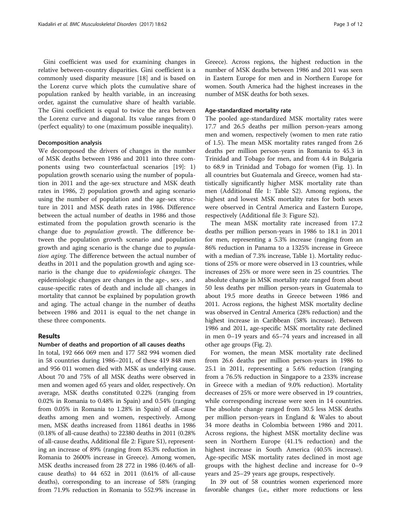Gini coefficient was used for examining changes in relative between-country disparities. Gini coefficient is a commonly used disparity measure [[18\]](#page-11-0) and is based on the Lorenz curve which plots the cumulative share of population ranked by health variable, in an increasing order, against the cumulative share of health variable. The Gini coefficient is equal to twice the area between the Lorenz curve and diagonal. Its value ranges from 0 (perfect equality) to one (maximum possible inequality).

#### Decomposition analysis

We decomposed the drivers of changes in the number of MSK deaths between 1986 and 2011 into three components using two counterfactual scenarios [\[19](#page-11-0)]: 1) population growth scenario using the number of population in 2011 and the age-sex structure and MSK death rates in 1986, 2) population growth and aging scenario using the number of population and the age-sex structure in 2011 and MSK death rates in 1986. Difference between the actual number of deaths in 1986 and those estimated from the population growth scenario is the change due to population growth. The difference between the population growth scenario and population growth and aging scenario is the change due to population aging. The difference between the actual number of deaths in 2011 and the population growth and aging scenario is the change due to epidemiologic changes. The epidemiologic changes are changes in the age-, sex-, and cause-specific rates of death and include all changes in mortality that cannot be explained by population growth and aging. The actual change in the number of deaths between 1986 and 2011 is equal to the net change in these three components.

#### Results

### Number of deaths and proportion of all causes deaths

In total, 192 666 069 men and 177 582 994 women died in 58 countries during 1986–2011, of these 419 848 men and 956 011 women died with MSK as underlying cause. About 70 and 75% of all MSK deaths were observed in men and women aged 65 years and older, respectively. On average, MSK deaths constituted 0.22% (ranging from 0.02% in Romania to 0.48% in Spain) and 0.54% (ranging from 0.05% in Romania to 1.28% in Spain) of all-cause deaths among men and women, respectively. Among men, MSK deaths increased from 11861 deaths in 1986 (0.18% of all-cause deaths) to 22380 deaths in 2011 (0.28% of all-cause deaths, Additional file [2:](#page-10-0) Figure S1), representing an increase of 89% (ranging from 85.3% reduction in Romania to 2600% increase in Greece). Among women, MSK deaths increased from 28 272 in 1986 (0.46% of allcause deaths) to 44 652 in 2011 (0.61% of all-cause deaths), corresponding to an increase of 58% (ranging from 71.9% reduction in Romania to 552.9% increase in Greece). Across regions, the highest reduction in the number of MSK deaths between 1986 and 2011 was seen in Eastern Europe for men and in Northern Europe for women. South America had the highest increases in the number of MSK deaths for both sexes.

# Age-standardized mortality rate

The pooled age-standardized MSK mortality rates were 17.7 and 26.5 deaths per million person-years among men and women, respectively (women to men rate ratio of 1.5). The mean MSK mortality rates ranged from 2.6 deaths per million person-years in Romania to 45.3 in Trinidad and Tobago for men, and from 4.4 in Bulgaria to 68.9 in Trinidad and Tobago for women (Fig. [1](#page-3-0)). In all countries but Guatemala and Greece, women had statistically significantly higher MSK mortality rate than men (Additional file [1](#page-10-0): Table S2). Among regions, the highest and lowest MSK mortality rates for both sexes were observed in Central America and Eastern Europe, respectively (Additional file [3:](#page-10-0) Figure S2).

The mean MSK mortality rate increased from 17.2 deaths per million person-years in 1986 to 18.1 in 2011 for men, representing a 5.3% increase (ranging from an 86% reduction in Panama to a 1325% increase in Greece with a median of 7.3% increase, Table [1](#page-4-0)). Mortality reductions of 25% or more were observed in 13 countries, while increases of 25% or more were seen in 25 countries. The absolute change in MSK mortality rate ranged from about 50 less deaths per million person-years in Guatemala to about 19.5 more deaths in Greece between 1986 and 2011. Across regions, the highest MSK mortality decline was observed in Central America (28% reduction) and the highest increase in Caribbean (58% increase). Between 1986 and 2011, age-specific MSK mortality rate declined in men 0–19 years and 65–74 years and increased in all other age groups (Fig. [2](#page-7-0)).

For women, the mean MSK mortality rate declined from 26.6 deaths per million person-years in 1986 to 25.1 in 2011, representing a 5.6% reduction (ranging from a 76.5% reduction in Singapore to a 233% increase in Greece with a median of 9.0% reduction). Mortality decreases of 25% or more were observed in 19 countries, while corresponding increase were seen in 14 countries. The absolute change ranged from 30.5 less MSK deaths per million person-years in England & Wales to about 34 more deaths in Colombia between 1986 and 2011. Across regions, the highest MSK mortality decline was seen in Northern Europe (41.1% reduction) and the highest increase in South America (40.5% increase). Age-specific MSK mortality rates declined in most age groups with the highest decline and increase for 0–9 years and 25–29 years age groups, respectively.

In 39 out of 58 countries women experienced more favorable changes (i.e., either more reductions or less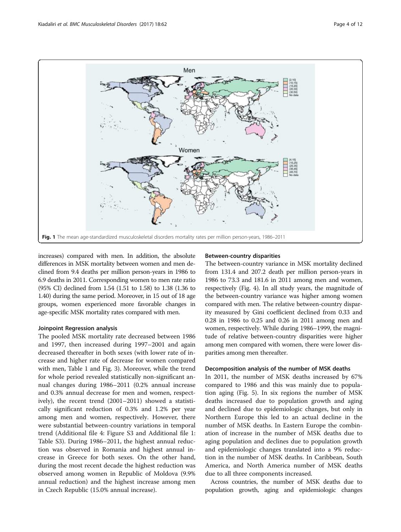<span id="page-3-0"></span>

increases) compared with men. In addition, the absolute differences in MSK mortality between women and men declined from 9.4 deaths per million person-years in 1986 to 6.9 deaths in 2011. Corresponding women to men rate ratio (95% CI) declined from 1.54 (1.51 to 1.58) to 1.38 (1.36 to 1.40) during the same period. Moreover, in 15 out of 18 age groups, women experienced more favorable changes in age-specific MSK mortality rates compared with men.

# Joinpoint Regression analysis

The pooled MSK mortality rate decreased between 1986 and 1997, then increased during 1997–2001 and again decreased thereafter in both sexes (with lower rate of increase and higher rate of decrease for women compared with men, Table [1](#page-4-0) and Fig. [3\)](#page-7-0). Moreover, while the trend for whole period revealed statistically non-significant annual changes during 1986–2011 (0.2% annual increase and 0.3% annual decrease for men and women, respectively), the recent trend (2001–2011) showed a statistically significant reduction of 0.3% and 1.2% per year among men and women, respectively. However, there were substantial between-country variations in temporal trend (Additional file [4](#page-10-0): Figure S3 and Additional file [1](#page-10-0): Table S3). During 1986–2011, the highest annual reduction was observed in Romania and highest annual increase in Greece for both sexes. On the other hand, during the most recent decade the highest reduction was observed among women in Republic of Moldova (9.9% annual reduction) and the highest increase among men in Czech Republic (15.0% annual increase).

# Between-country disparities

The between-country variance in MSK mortality declined from 131.4 and 207.2 death per million person-years in 1986 to 73.3 and 181.6 in 2011 among men and women, respectively (Fig. [4](#page-8-0)). In all study years, the magnitude of the between-country variance was higher among women compared with men. The relative between-country disparity measured by Gini coefficient declined from 0.33 and 0.28 in 1986 to 0.25 and 0.26 in 2011 among men and women, respectively. While during 1986–1999, the magnitude of relative between-country disparities were higher among men compared with women, there were lower disparities among men thereafter.

# Decomposition analysis of the number of MSK deaths

In 2011, the number of MSK deaths increased by 67% compared to 1986 and this was mainly due to population aging (Fig. [5\)](#page-8-0). In six regions the number of MSK deaths increased due to population growth and aging and declined due to epidemiologic changes, but only in Northern Europe this led to an actual decline in the number of MSK deaths. In Eastern Europe the combination of increase in the number of MSK deaths due to aging population and declines due to population growth and epidemiologic changes translated into a 9% reduction in the number of MSK deaths. In Caribbean, South America, and North America number of MSK deaths due to all three components increased.

Across countries, the number of MSK deaths due to population growth, aging and epidemiologic changes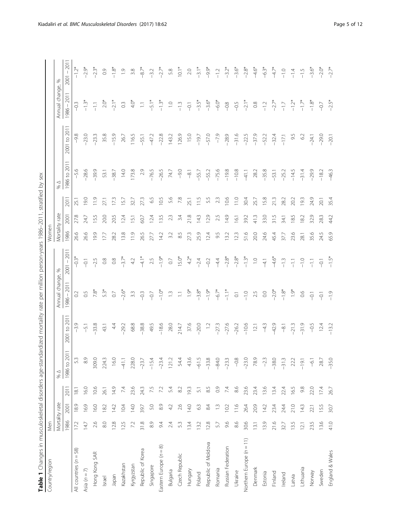| à                                                                                                         |
|-----------------------------------------------------------------------------------------------------------|
|                                                                                                           |
| j                                                                                                         |
| j                                                                                                         |
| l<br>l                                                                                                    |
| ć<br>j                                                                                                    |
| $\frac{1}{2}$                                                                                             |
|                                                                                                           |
| 1                                                                                                         |
| ₹                                                                                                         |
|                                                                                                           |
| í<br>ĺ<br>֕                                                                                               |
| ¢<br>-<br>-<br>-<br>-<br>-<br>j<br>j<br>֚֚֚֡                                                              |
| :<br>ו                                                                                                    |
| j<br>i<br>ׇ֚֬֕                                                                                            |
| $\ddot{\phantom{0}}$                                                                                      |
| ،<br>آ<br>l<br>Í<br>ā<br>j<br>$\overline{ }$<br>j                                                         |
| able<br>T<br>֧֧֧֧֧֧֦֧֦֧֧֦֧֧֦֧ׅ֧֧֧֧ׅ֧֧ׅ֧֧֧֧֧֧֧֚֚֚֚֚֚֚֚֚֚֚֚֚֚֚֝֝֝֝֓֝֬֝֓֝֬֝֓֝֬֜֜֓֜֓֝֬֜֝֬֜֓֝֬֜֜֝֬֝֬֜֝֬֝֬<br>I |

<span id="page-4-0"></span>

| Country/region           | Men   |                |                |               |                  |                       |                     | Nomen          |                  |      |                  |              |                      |                |
|--------------------------|-------|----------------|----------------|---------------|------------------|-----------------------|---------------------|----------------|------------------|------|------------------|--------------|----------------------|----------------|
|                          |       | Mortality rate |                | $\%$ $\Delta$ |                  | Annual change, %      |                     | Mortality rate |                  |      | $\%$ $\triangle$ |              | Annual change, %     |                |
|                          | 1986  | 2001           | 2011           | 1986 to 2011  | 2001 to 2011     | $1986 - 2011$         | $2001 - 201$        | 1986           | 2001             | 2011 | 1986 to 2011     | 2001 to 2011 | $1986 - 2011$        | $2001 - 201$   |
| All countries $(n = 58)$ | 172   | 18.9           | 18.1           | S.            | $-3.9$           | 0.2                   | $-0.3$ <sup>*</sup> | 26.6           | 27.8             | 25.1 | $-5.6$           | $-9.8$       | $-0.3$               | $-1.2*$        |
| Asia $(n = 7)$           | 14.7  | 6.9            | 16.0           | $\frac{8}{3}$ | $-5.1$           | 0.5                   | $-0.1$              | 26.6           | 24.7             | 19.0 | $-28.6$          | $-23.0$      | $-1.3*$              | $-2.9*$        |
| Hong Kong SAR            | 2.6   | 16.0           | 10.6           | 309.0         | $-33.8$          | $7.8*$                | $-2.5$              | 19.9           | 15.5             | 11.9 | $-39.9$          | $-23.3$      | $\overline{-1}$      | $-2.3*$        |
| Israel                   | $8.0$ | 182            | 26.1           | 224.3         | 43.1             | 5.3*                  | $\frac{8}{1}$       | 17.7           | 20.0             | 27.1 | 53.1             | 35.8         | $2.0*$               | 0.9            |
| Japan                    | 12.8  | 142            | 149            | 16.0          | 44               | $\overline{0}$        | $\frac{8}{2}$       | 28.2           | 20.5             | 173  | $-38.7$          | $-15.9$      | $-2.1*$              | $-1.8*$        |
| Kazakhstan               | 12.5  | 10.4           | 74             | $-41.1$       | $-29.2$          | $-2.6*$               | $3.7*$              | 13.8           | 12.4             | 15.7 | 14.0             | 26.7         | $\rm{C}$             | $\overline{0}$ |
| Kyrgyzstan               | 7.2   | 14.0           | 23.6           | 228.0         | 68.8             | 3.3                   | 4.2                 | 11.9           | 5.1              | 32.7 | 173.8            | 116.5        | $4.0*$               | 3.8            |
| Republic of Korea        | 31.8  | 39.7           | 243            | $-23.7$       | $-38.8$          | $-0.3$                | $-4.1*$             | 26.5           | 60.7             | 27.3 | 2.9              | $-55.1$      | $\overline{\Box}$    | $-8.7*$        |
| Singapore                | 8.9   | 5.0            | 7.5            | $-15.4$       | 49.5             | $-0.7$                | 2.5                 | 27.7           | 12.4             | 65   | $-76.5$          | $-47.2$      | $-5.1*$              | $-3.2$         |
| Eastern Europe $(n = 8)$ | 94    | 8.9            | 7.2            | $-23.4$       | $-18.6$          | $-1.0*$               | $-1.9*$             | 14.2           | 13.5             | 10.5 | $-26.5$          | $-22.8$      | $-1.3*$              | $-2.7*$        |
| Bulgaria                 | 2.4   | 42             | 5.4            | 121.2         | 28.0             | $\tilde{\Xi}$         | $\rm C$             | 3.2            | 23               | 5.6  | 74.7             | 143.2        | $\overline{a}$       | 5.8            |
| Czech Republic           | 53    | 2.6            | 8.2            | 54.4          | 214.7            | $\Box$                | $15.0*$             | 8.5            | 3.4              | 7.8  | $-9.0$           | 126.9        | $-13$                | $10.1*$        |
| Hungary                  | 13.4  | 14.0           | 193            | 43.6          | 37.6             | $1.9*$                | $4.2*$              | 27.3           | 21.8             | 25.1 | $-8.1$           | 15.0         | $-0.1$               | $2.0\,$        |
| Poland                   | 13.2  | 63             | $\overline{5}$ | $-61.5$       | $-20.0$          | $-3.8*$               | $-2.4$              | 25.9           | 14.3             | 11.5 | $-55.7$          | $-19.7$      | $-3.5*$              | $-3.1*$        |
| Republic of Moldova      | 12.8  | 84             | 85             | $-33.8$       | $\overline{1}$ . | $-1.9*$               | $-0.2$              | 12.4           | 12.9             | 55   | $-55.2$          | $-57.0$      | $-3.6*$              | $-9.9*$        |
| Romania                  | 57    | $\tilde{\Xi}$  | $\overline{0}$ | $-84.0$       | $-273$           | $-6.7*$               | $-4.4$              | 9.5            | 2.5              | 2.3  | $-75.6$          | $-7.9$       | $-6.0*$              | $-1.2$         |
| Russian Federation       | 9.6   | 10.2           | 74             | $-233$        | $-27.6$          | $-1.1$ <sup>*</sup>   | $-2.8*$             | 13.2           | 14.9             | 10.6 | $-19.8$          | $-28.9$      | $-0.8$               | $-3.2*$        |
| Ukraine                  | 8.6   | 11.6           | $86$           | $-0.8$        | $-26.2$          | $\overline{\text{C}}$ | $-2.8*$             | 123            | $\overline{6}$ . | 11.0 | $-10.8$          | $-31.6$      | $-0.5$               | $-3.6*$        |
| Northern Europe (n = 11) | 30.6  | 26.4           | 23.6           | $-23.0$       | $-10.6$          | $-1.0$                | $-1.3*$             | 51.6           | 39.2             | 30.4 | $-41.1$          | $-22.5$      | $-2.1*$              | $-2.8*$        |
| Denmark                  | 13.1  | 20.9           | 23.4           | 78.9          | 12.1             | 2.5                   | $\overline{1}$ .    | 20.0           | 41.3             | 25.7 | 28.2             | $-37.9$      | $_{\odot}^{\otimes}$ | $-4.6*$        |
| Estonia                  | 13.9  | 14.2           | 13.6           | $-23$         | $\frac{3}{4}$    | 0.0                   | $-4.1$              | 24.6           | 33.0             | 15.8 | $-35.8$          | $-52.2$      | $-1.2$               | $-6.3*$        |
| Finland                  | 21.6  | 23.4           | 13.4           | $-38.0$       | $-42.9$          | $-2.0*$               | $-4.6*$             | 45.4           | 31.5             | 21.3 | $-53.1$          | $-32.4$      | $-2.7*$              | $-4.7*$        |
| Ireland                  | 32.7  | 24.4           | 22.4           | $-31.3$       | $\overline{q}$   | $-1.8*$               | $-1.3$              | 37.7           | 34.1             | 28.2 | $-25.2$          | $-17.1$      | $-1.7\,$             | $-1.0$         |
| Latvia                   | 13.5  | 21.0           | 16.5           | 22.2          | $-21.3$          | $1.9*$                | $-1$                | 23.6           | 18.5             | 20.2 | $-14.5$          | 9.5          | $-1.2*$              | $-1.4$         |
| Lithuania                | 12.1  | 14.3           | 9.8            | $-19.1$       | $-31.9$          | 66                    | $-1.0$              | 28.1           | 18.2             | 19.3 | $-31.4$          | $62$         | $-1.7*$              | $-1.5$         |
| Norway                   | 23.5  | 22.1           | 22.0           | $-6.1$        | $-0.5$           | $-5$                  | $-1$                | 35.6           | 32.9             | 24.9 | $-29.9$          | $-24.1$      | $-1.8*$              | $-3.6*$        |
| Sweden                   | 13.6  | 155            | 17.4           | 28.7          | 12.4             | $-0.1$                | $-0.1$              | 24.5           | 28.3             | 20.1 | $-18.2$          | $-29.0$      | $-0.7$               | $-2.0*$        |
| England & Wales          | 41.0  | 30.7           | 26.7           | $-35.0$       | $-13.2$          | $-1.9$                | $-1.5$ <sup>*</sup> | 65.9           | 44.2             | 35.4 | $-46.3$          | $-20.1$      | $-2.5*$              | $-2.7*$        |
|                          |       |                |                |               |                  |                       |                     |                |                  |      |                  |              |                      |                |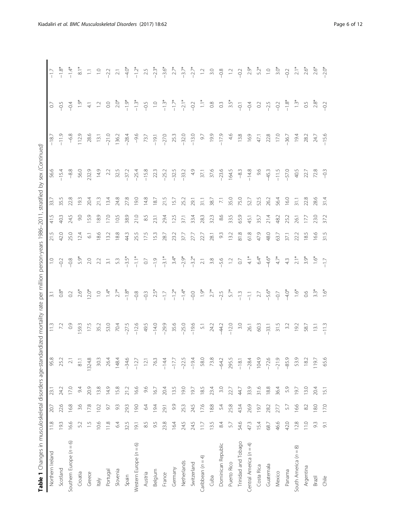| (pən                      |  |
|---------------------------|--|
| į                         |  |
|                           |  |
|                           |  |
| )<br>Ņ                    |  |
|                           |  |
|                           |  |
| l                         |  |
| 1                         |  |
|                           |  |
|                           |  |
|                           |  |
| J                         |  |
| ׇׇ֦֧֧֚<br>:<br>י          |  |
|                           |  |
|                           |  |
| $\frac{1}{2}$<br>$\vdots$ |  |
|                           |  |
|                           |  |
|                           |  |
| 6–201                     |  |
|                           |  |
|                           |  |
| Ř                         |  |
| ξ                         |  |
|                           |  |
|                           |  |
| i<br>i<br>Du              |  |
|                           |  |
| .<br>בן<br>ד              |  |
|                           |  |
|                           |  |
| م<br>با<br>ξ              |  |
|                           |  |
| ļ                         |  |
| J                         |  |
|                           |  |
| ï                         |  |
| $\frac{1}{2}$             |  |
|                           |  |
|                           |  |
|                           |  |
| l                         |  |
| ł                         |  |
|                           |  |
| $\frac{1}{2}$             |  |
|                           |  |
| $\frac{1}{2}$             |  |
|                           |  |
|                           |  |
|                           |  |
|                           |  |
| ļ<br>ŧ                    |  |
|                           |  |
| ļ                         |  |
| ٤                         |  |
|                           |  |
|                           |  |
| į                         |  |
| )<br>}<br>}<br>$\geq$     |  |
|                           |  |
|                           |  |
|                           |  |
| j                         |  |
| $\frac{3}{2}$             |  |
| 5                         |  |
| うり                        |  |
| Ì<br>i<br>j               |  |
| Ì                         |  |
|                           |  |
|                           |  |
| Ď                         |  |
| ś<br>i                    |  |
| ׇ֚֬<br>ł                  |  |
| $\overline{\phantom{a}}$  |  |
|                           |  |
|                           |  |
|                           |  |
| ;<br>;                    |  |
| 1                         |  |
|                           |  |
|                           |  |
|                           |  |
| ţ                         |  |
|                           |  |
|                           |  |
| $\sum_{i=1}^{n}$<br>١     |  |
| Ş                         |  |
|                           |  |
|                           |  |
|                           |  |
| 1                         |  |
| ز<br>ہ<br>آ               |  |
| ļ                         |  |
| Ì<br>J                    |  |
|                           |  |
| ī                         |  |
| )<br>-                    |  |
|                           |  |
| í<br>ı                    |  |
|                           |  |
| Table                     |  |

| Table 1 Changes in musculoskeletal disorders age-stan |                           |        |      |          | idardized mortality rate |                  |                     |                |                |                   | per million person-years 1986-2011, stratified by sex (Continued) |         |                |                 |
|-------------------------------------------------------|---------------------------|--------|------|----------|--------------------------|------------------|---------------------|----------------|----------------|-------------------|-------------------------------------------------------------------|---------|----------------|-----------------|
| Northern Ireland                                      | 11.8                      | 20.7   | 23.1 | 95.8     | 11.3                     | $\overline{3}$ . | $\supseteq$         | 21.5           | 41.5           | 33.7              | 56.6                                                              | $-18$   | $\overline{O}$ | $-17$           |
| Scotland                                              | 19.3                      | 22.6   | 24.2 | 25.2     | 72                       | $0.8*$           | $-0.2$              | 42.0           | 40.3           | 35.5              | $-15.4$                                                           | $-11.9$ | $-0.5$         | $-1.8^{\circ}$  |
| Southern Europe $(n = 6)$                             | 16.6                      | 16.8   | 17.0 | $\geq 1$ | $\overline{0}$           | 0.2              | $-0.8$              | 25.0           | 24.5           | 22.8              | $-8.8$                                                            | $-6.8$  | $-0.4$         | $-1.4*$         |
| Croatia                                               | 52                        | 3.6    | 9.4  | 81.1     | 59.3                     | $2.6*$           | 5.9*                | 12.4           | $\overline{6}$ | 193               | 56.0                                                              | 112.9   | $\ddot{6}$     | $\frac{1}{8}$   |
| Greece                                                | $\frac{5}{1}$             | 17.8   | 20.9 | 1324.8   | 17.5                     | $12.0*$          | 2.0                 | $\overline{6}$ | 15.9           | 20.4              | 232.9                                                             | 28.6    | $\overline{4}$ | $\Xi$           |
| ltaly                                                 | 10.6                      | 10.2   | 13.8 | 30.3     | 35.2                     | $\overline{C}$   | 2.2                 | 18.6           | 18.9           | 21.3              | 149                                                               | 13.1    | $\overline{C}$ | $\overline{C}$  |
| Portugal                                              | 11.8                      | 56     | 149  | 26.4     | 53.0                     | $1.4*$           | $\overline{3.1}$    | 13.2           | 17.0           | 13.4              | 22                                                                | $-21.0$ | $_{\odot}$     | $-2.2$          |
| Slovenia                                              | 6.4                       | 93     | 15.8 | 148.4    | 70.4                     | $2.7*$           | 5.3                 | 18.8           | 10.5           | 24.8              | 32.5                                                              | 136.2   | $2.0*$         | $\gtrsim$       |
| Spain                                                 | 32.5                      | 293    | 21.2 | $-34.6$  | $-27.5$                  | $-1.8*$          | $-3.5*$             | 44.3           | 38.9           | 27.8              | $-37.2$                                                           | $-28.4$ | $-1.9*$        | $-4.0*$         |
| Western Europe $(n = 6)$                              | 19.1                      | 19.0   | 16.6 | $-12.7$  | $-12.6$                  | $-0.8$           | $\frac{1}{1}$       | 25.5           | 21.0           | 19.0              | $-25.4$                                                           | $-9.6$  | $-1.3*$        | $-1.2*$         |
| Austria                                               | 8.5                       | 64     | 9.6  | 12.1     | 49.5                     | $-0.3$           | $\circlearrowright$ | 17.5           | 8.5            | 14.8              | $-15.8$                                                           | 73.7    | $-0.5$         | 2.5             |
| Belgium                                               | 9.5                       | 194    | 16.7 | 763      | $-14.0$                  | $2.5*$           | $-1.9$              | 15.3           | 23.1           | 18.7              | 223                                                               | $-19.1$ | $\frac{1}{2}$  | $-2.3*$         |
| France                                                | 23.8                      | 29.1   | 20.4 | $-14.4$  | $-29.9$                  | $-1.7\,$         | $-3.1*$             | 28.7           | 29.4           | 21.5              | $-25.2$                                                           | $-27.0$ | $-1.3*$        | $-3.6*$         |
| Germany                                               | 16.4                      | 93     | 13.5 | $-17.7$  | 35.6                     | $-1.2*$          | $3.4*$              | 23.2           | 12.5           | 157               | $-32.5$                                                           | 25.3    | $-1.7*$        | $2.7*$          |
| Netherlands                                           | 24.5                      | 25.3   | 19.0 | $-22.5$  | $-25.0$                  | $-1.4*$          | $-2.9*$             | 37.7           | 37.1           | 25.2              | $-33.2$                                                           | $-32.0$ | $-2.1*$        | $-3.7*$         |
| Switzerland                                           | 24.5                      | 24.5   | 19.7 | $-19.4$  | $-19.6$                  | $-0.0$           | $-3.2*$             | 27.7           | 33.4           | 29.1              | 49                                                                | $-13.0$ | $-0.2$         | $-2.7*$         |
| Caribbean $(n = 4)$                                   | 11.7                      | 17.6   | 185  | 58.0     | $\overline{5}$           | $1.9*$           | $\overline{21}$     | 22.7           | 28.3           | 31.1              | 37.1                                                              | 9.7     | $\frac{1}{1}$  | $\overline{12}$ |
| Cuba                                                  | 13.5                      | 18.8   | 23.4 | 73.8     | 24.2                     | $2.7*$           | 3.8                 | 28.1           | 32.3           | 38.7              | 37.6                                                              | 19.9    | $_{\rm 0.8}$   | $3.0\,$         |
| Dominican Republic                                    | $\frac{84}{3}$            | 54     | 3.0  | $-64.2$  | -44.2                    | $-2.5$           | $-5.6$              | 9.3            | $86$           | $\overline{\sim}$ | $-23.6$                                                           | $-17.9$ | $0.3\,$        | $-0.8$          |
| Puerto Rico                                           | 5.7                       | 25.8   | 22.7 | 295.5    | $-12.0$                  | 5.7*             | $\ddot{ }$          | 13.2           | 33.5           | 35.0              | 164.5                                                             | 4.6     | $3.5*$         | $\overline{c}$  |
| Trinidad and Tobago                                   | 54.6                      | 43.4   | 44.7 | $-18.1$  | 3.0                      | $-1.3$           | $\rm _{\odot}$      | 81.8           | 65.9           | 75.0              | $-8.3$                                                            | 13.8    | $\overline{O}$ | $-0.2$          |
| Central America (n = 4)                               | 47.3                      | 26.9   | 33.9 | $-28.4$  | 26.1                     | $-1$             | $4.1*$              | 61.8           | 45.1           | 52.7              | $-14.8$                                                           | 16.9    | $-0.4$         | $2.9*$          |
| Costa Rica                                            | 15.4                      | 19.7   | 31.6 | 104.9    | 60.3                     | $27\,$           | $6.4*$              | 47.9           | 35.7           | 52.5              | 9.6                                                               | 47.1    | O2             | 52*             |
| Guatemala                                             | 68.7                      | 28.2   | 18.8 | $-726$   | $-33.1$                  | $-5.6*$          | $-4.6*$             | 48.0           | 21.4           | 26.2              | $-45.3$                                                           | 22.8    | $-2.5$         | $\bar{\Xi}$     |
| Mexico                                                | 46.6                      | 27.7   | 36.4 | $-21.9$  | 31.5                     | $-0.7$           | $4.7*$              | 63.7           | 48.2           | 56.4              | $-11.5$                                                           | 17.0    | $-0.2$         | $3.0*$          |
| Panama                                                | 42.0                      | 57     | 5.9  | $-85.9$  | 3.2                      | $-4.0*$          | 43                  | 37.1           | 25.2           | 16.0              | $-57.0$                                                           | $-36.7$ | $-1.8*$        | $-0.2$          |
| South America (n = 8)                                 | 12.8                      | 16.6   | 19.7 | 53.9     | 19.2                     | $1.6*$           | $2.1*$              | 22.2           | 26.1           | 31.1              | 40.5                                                              | 19.4    | $1.3*$         | $2.1*$          |
| Argentina                                             | $\overline{1.0}$          | $82\,$ | 13.0 | 18.2     | 58.7                     | 60               | $3.9*$              | 5<br>$\infty$  | 17.7           | 22.8              | 22.7                                                              | 28.2    | $\rm C$        | $2.6*$          |
| Brazil                                                | 9.3                       | 18.0   | 20.4 | 119.7    | 13.1                     | $3.3*$           | $1.6*$              | 16.6           | 23.0           | 28.6              | 72.8                                                              | 24.7    | $2.8*$         | $2.6*$          |
| Chile                                                 | $\overline{\mathfrak{S}}$ | 17.0   | 15.1 | 65.6     | $-11.3$                  | $1.6*$           | $-1.7$              | 31.5           | 37.2           | 31.4              | $-0.3$                                                            | $-15.6$ | $-0.2$         | $-2.0*$         |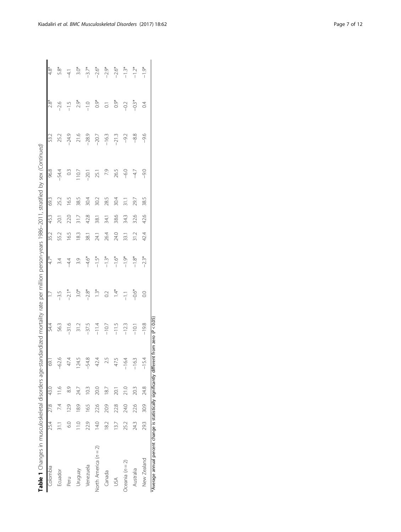| Colombia              |                 | 25.4 27.8 | 43.0 | 59.1    | 54.4        |                | $4.7*$  | 35.2 | 45.3 | 693           | 96.8          | 53.2    | 28                 | $4.8*$  |
|-----------------------|-----------------|-----------|------|---------|-------------|----------------|---------|------|------|---------------|---------------|---------|--------------------|---------|
| Ecuador               |                 | 74        |      | $-62.6$ | 563         | $-3.5$         | 3.4     | 55.2 | 20.1 | 25.2          | $-54.4$       | 25.2    | $-2.6$             | 5.8*    |
| Peru                  | $\overline{6}$  | 129       | 8.9  | 47.4    | $-31.6$     | $-2.1*$        | $-4.4$  | 16.5 | 22.0 | 165           | $\frac{3}{2}$ | $-24.9$ | $-1.5$             | $-4.1$  |
| Venbnun               | $\frac{10}{10}$ | 189       | 24.7 | 124.5   | 31.2        | $3.0*$         | 3.9     | 183  | 317  | 38.5          | 107           | 21.6    | $2.9*$             | $3.0*$  |
| Venezuela             | 22.9            | 165       | 10.3 | $-54.8$ | $-37.5$     | $-2.8*$        | $-4.6*$ | 38.1 | 42.8 | 30.4          | $-20.1$       | $-28.9$ | $-1.0$             | $-3.7*$ |
| North America (n = 2) | 14.0            | 22.6      | 20.0 | 42.4    | $-11.4$     | $1.3*$         | $-1.5*$ | 24.1 | 38.1 | 30.2          | 25.1          | $-20.7$ | $0.9*$             | $-2.6*$ |
| Canada                | $\approx$       | 20.9      | 187  | 25      | $-10.7$     | 0.2            | $-1.3*$ | 26.4 | 34.1 | 28.5          | 7.9           | $-16.3$ | $\overline{\circ}$ | $-2.9*$ |
| SÁ                    | 13.7            | 228       | 20,1 |         | $-11.5$     | $1.4*$         | $-1.6*$ | 24.0 | 38.6 | 30.4          | 265           | $-21.3$ | $0.9*$             | $-2.6*$ |
| Oceania ( $n = 2$ )   | 25.2            | 24.0      | 21.0 | $-16.4$ | $-12.3$     | $\frac{1}{1}$  | $-1.9*$ | 33.1 | 34.3 | $\frac{1}{3}$ | $-6.0$        | $-9.2$  | $-0.2$             | $-1.3*$ |
| Australia             | 24.3            | 22.6      | 203  | $-163$  | $rac{1}{1}$ | $-0.6*$        | $-1.8*$ | 31.2 | 32.6 | 29.7          | $-4.7$        | $-8.8$  | $-0.3*$            | $-1.2*$ |
| New Zealand           | 29.3            | 30.9      | 24.8 | $-15.4$ | $-19.8$     | $\overline{0}$ | $-2.3*$ | 42.4 | 42.6 | 385           | $-9.0$        | $-9.6$  | $\overline{0}$     | $-1.9*$ |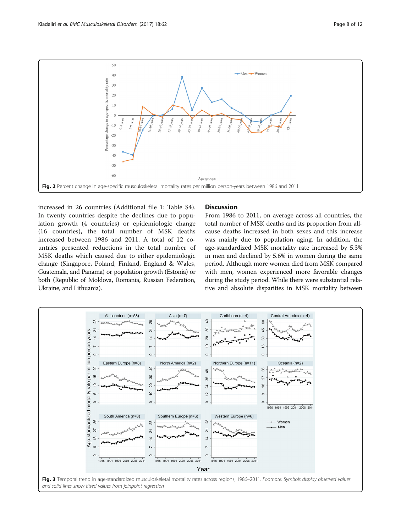<span id="page-7-0"></span>

increased in 26 countries (Additional file [1](#page-10-0): Table S4). In twenty countries despite the declines due to population growth (4 countries) or epidemiologic change (16 countries), the total number of MSK deaths increased between 1986 and 2011. A total of 12 countries presented reductions in the total number of MSK deaths which caused due to either epidemiologic change (Singapore, Poland, Finland, England & Wales, Guatemala, and Panama) or population growth (Estonia) or both (Republic of Moldova, Romania, Russian Federation, Ukraine, and Lithuania).

#### **Discussion**

From 1986 to 2011, on average across all countries, the total number of MSK deaths and its proportion from allcause deaths increased in both sexes and this increase was mainly due to population aging. In addition, the age-standardized MSK mortality rate increased by 5.3% in men and declined by 5.6% in women during the same period. Although more women died from MSK compared with men, women experienced more favorable changes during the study period. While there were substantial relative and absolute disparities in MSK mortality between

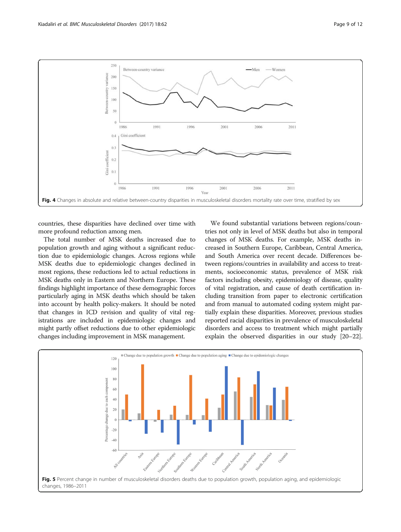<span id="page-8-0"></span>

countries, these disparities have declined over time with more profound reduction among men.

The total number of MSK deaths increased due to population growth and aging without a significant reduction due to epidemiologic changes. Across regions while MSK deaths due to epidemiologic changes declined in most regions, these reductions led to actual reductions in MSK deaths only in Eastern and Northern Europe. These findings highlight importance of these demographic forces particularly aging in MSK deaths which should be taken into account by health policy-makers. It should be noted that changes in ICD revision and quality of vital registrations are included in epidemiologic changes and might partly offset reductions due to other epidemiologic changes including improvement in MSK management.

We found substantial variations between regions/countries not only in level of MSK deaths but also in temporal changes of MSK deaths. For example, MSK deaths increased in Southern Europe, Caribbean, Central America, and South America over recent decade. Differences between regions/countries in availability and access to treatments, socioeconomic status, prevalence of MSK risk factors including obesity, epidemiology of disease, quality of vital registration, and cause of death certification including transition from paper to electronic certification and from manual to automated coding system might partially explain these disparities. Moreover, previous studies reported racial disparities in prevalence of musculoskeletal disorders and access to treatment which might partially explain the observed disparities in our study [\[20](#page-11-0)–[22](#page-11-0)].

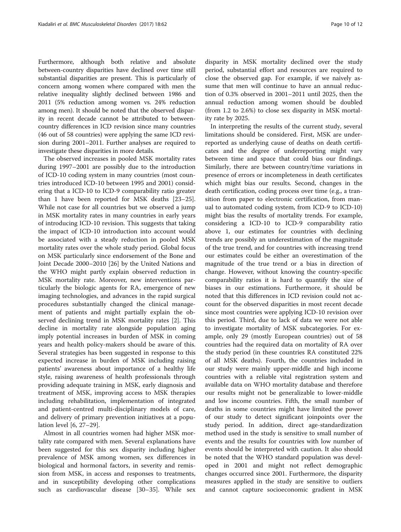Furthermore, although both relative and absolute between-country disparities have declined over time still substantial disparities are present. This is particularly of concern among women where compared with men the relative inequality slightly declined between 1986 and 2011 (5% reduction among women vs. 24% reduction among men). It should be noted that the observed disparity in recent decade cannot be attributed to betweencountry differences in ICD revision since many countries (46 out of 58 countries) were applying the same ICD revision during 2001–2011. Further analyses are required to investigate these disparities in more details.

The observed increases in pooled MSK mortality rates during 1997–2001 are possibly due to the introduction of ICD-10 coding system in many countries (most countries introduced ICD-10 between 1995 and 2001) considering that a ICD-10 to ICD-9 comparability ratio greater than 1 have been reported for MSK deaths [[23](#page-11-0)–[25](#page-11-0)]. While not case for all countries but we observed a jump in MSK mortality rates in many countries in early years of introducing ICD-10 revision. This suggests that taking the impact of ICD-10 introduction into account would be associated with a steady reduction in pooled MSK mortality rates over the whole study period. Global focus on MSK particularly since endorsement of the Bone and Joint Decade 2000–2010 [\[26\]](#page-11-0) by the United Nations and the WHO might partly explain observed reduction in MSK mortality rate. Moreover, new interventions particularly the biologic agents for RA, emergence of new imaging technologies, and advances in the rapid surgical procedures substantially changed the clinical management of patients and might partially explain the observed declining trend in MSK mortality rates [\[2](#page-10-0)]. This decline in mortality rate alongside population aging imply potential increases in burden of MSK in coming years and health policy-makers should be aware of this. Several strategies has been suggested in response to this expected increase in burden of MSK including raising patients' awareness about importance of a healthy life style, raising awareness of health professionals through providing adequate training in MSK, early diagnosis and treatment of MSK, improving access to MSK therapies including rehabilitation, implementation of integrated and patient-centred multi-disciplinary models of care, and delivery of primary prevention initiatives at a population level [\[6](#page-10-0), [27](#page-11-0)–[29](#page-11-0)].

Almost in all countries women had higher MSK mortality rate compared with men. Several explanations have been suggested for this sex disparity including higher prevalence of MSK among women, sex differences in biological and hormonal factors, in severity and remission from MSK, in access and responses to treatments, and in susceptibility developing other complications such as cardiovascular disease [[30](#page-11-0)–[35\]](#page-11-0). While sex disparity in MSK mortality declined over the study period, substantial effort and resources are required to close the observed gap. For example, if we naively assume that men will continue to have an annual reduction of 0.3% observed in 2001–2011 until 2025, then the annual reduction among women should be doubled (from 1.2 to 2.6%) to close sex disparity in MSK mortality rate by 2025.

In interpreting the results of the current study, several limitations should be considered. First, MSK are underreported as underlying cause of deaths on death certificates and the degree of underreporting might vary between time and space that could bias our findings. Similarly, there are between country/time variations in presence of errors or incompleteness in death certificates which might bias our results. Second, changes in the death certification, coding process over time (e.g., a transition from paper to electronic certification, from manual to automated coding system, from ICD-9 to ICD-10) might bias the results of mortality trends. For example, considering a ICD-10 to ICD-9 comparability ratio above 1, our estimates for countries with declining trends are possibly an underestimation of the magnitude of the true trend, and for countries with increasing trend our estimates could be either an overestimation of the magnitude of the true trend or a bias in direction of change. However, without knowing the country-specific comparability ratios it is hard to quantify the size of biases in our estimations. Furthermore, it should be noted that this differences in ICD revision could not account for the observed disparities in most recent decade since most countries were applying ICD-10 revision over this period. Third, due to lack of data we were not able to investigate mortality of MSK subcategories. For example, only 29 (mostly European countries) out of 58 countries had the required data on mortality of RA over the study period (in these countries RA constituted 22% of all MSK deaths). Fourth, the countries included in our study were mainly upper-middle and high income countries with a reliable vital registration system and available data on WHO mortality database and therefore our results might not be generalizable to lower-middle and low income countries. Fifth, the small number of deaths in some countries might have limited the power of our study to detect significant joinpoints over the study period. In addition, direct age-standardization method used in the study is sensitive to small number of events and the results for countries with low number of events should be interpreted with caution. It also should be noted that the WHO standard population was developed in 2001 and might not reflect demographic changes occurred since 2001. Furthermore, the disparity measures applied in the study are sensitive to outliers and cannot capture socioeconomic gradient in MSK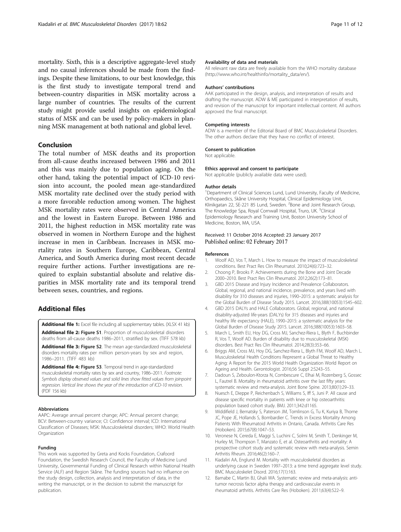<span id="page-10-0"></span>mortality. Sixth, this is a descriptive aggregate-level study and no causal inferences should be made from the findings. Despite these limitations, to our best knowledge, this is the first study to investigate temporal trend and between-country disparities in MSK mortality across a large number of countries. The results of the current study might provide useful insights on epidemiological status of MSK and can be used by policy-makers in planning MSK management at both national and global level.

#### Conclusion

The total number of MSK deaths and its proportion from all-cause deaths increased between 1986 and 2011 and this was mainly due to population aging. On the other hand, taking the potential impact of ICD-10 revision into account, the pooled mean age-standardized MSK mortality rate declined over the study period with a more favorable reduction among women. The highest MSK mortality rates were observed in Central America and the lowest in Eastern Europe. Between 1986 and 2011, the highest reduction in MSK mortality rate was observed in women in Northern Europe and the highest increase in men in Caribbean. Increases in MSK mortality rates in Southern Europe, Caribbean, Central America, and South America during most recent decade require further actions. Further investigations are required to explain substantial absolute and relative disparities in MSK mortality rate and its temporal trend between sexes, countries, and regions.

# Additional files

[Additional file 1:](dx.doi.org/10.1186/s12891-017-1428-1) Excel file including all supplementary tables. (XLSX 41 kb) [Additional file 2:](dx.doi.org/10.1186/s12891-017-1428-1) Figure S1. Proportion of musculoskeletal disorders

deaths from all-cause deaths 1986–2011, stratified by sex. (TIFF 578 kb) [Additional file 3:](dx.doi.org/10.1186/s12891-017-1428-1) Figure S2. The mean age-standardized musculoskeletal

disorders mortality rates per million person-years by sex and region, 1986–2011. (TIFF 483 kb)

[Additional file 4:](dx.doi.org/10.1186/s12891-017-1428-1) Figure S3. Temporal trend in age-standardized musculoskeletal mortality rates by sex and country, 1986–2011. Footnote: Symbols display observed values and solid lines show fitted values from joinpoint regression. Vertical line shows the year of the introduction of ICD-10 revision. (PDF 156 kb)

#### Abbreviations

AAPC: Average annual percent change; APC: Annual percent change; BCV: Between-country variance; CI: Confidence interval; ICD: International Classification of Diseases; MSK: Musculoskeletal disorders; WHO: World Health Organization

#### Funding

This work was supported by Greta and Kocks Foundation, Crafoord Foundation, the Swedish Research Council, the Faculty of Medicine Lund University, Governmental Funding of Clinical Research within National Health Service (ALF) and Region Skåne. The funding sources had no influence on the study design, collection, analysis and interpretation of data, in the writing the manuscript, or in the decision to submit the manuscript for publication.

#### Availability of data and materials

All relevant raw data are freely available from the WHO mortality database ([http://www.who.int/healthinfo/mortality\\_data/en/](http://www.who.int/healthinfo/mortality_data/en/)).

#### Authors' contributions

AAK participated in the design, analysis, and interpretation of results and drafting the manuscript. ADW & ME participated in interpretation of results, and revision of the manuscript for important intellectual content. All authors approved the final manuscript.

#### Competing interests

ADW is a member of the Editorial Board of BMC Musculoskeletal Disorders. The other authors declare that they have no conflict of interest.

#### Consent to publication

Not applicable.

#### Ethics approval and consent to participate

Not applicable (publicly available data were used).

#### Author details

<sup>1</sup>Department of Clinical Sciences Lund, Lund University, Faculty of Medicine, Orthopaedics, Skåne University Hospital, Clinical Epidemiology Unit, Klinikgatan 22, SE-221 85 Lund, Sweden. <sup>2</sup>Bone and Joint Research Group, The Knowledge Spa, Royal Cornwall Hospital, Truro, UK. <sup>3</sup>Clinical Epidemiology Research and Training Unit, Boston University School of Medicine, Boston, MA, USA.

#### Received: 11 October 2016 Accepted: 23 January 2017 Published online: 02 February 2017

#### References

- 1. Woolf AD, Vos T, March L. How to measure the impact of musculoskeletal conditions. Best Pract Res Clin Rheumatol. 2010;24(6):723–32.
- 2. Choong P, Brooks P. Achievements during the Bone and Joint Decade 2000–2010. Best Pract Res Clin Rheumatol. 2012;26(2):173–81.
- 3. GBD 2015 Disease and Injury Incidence and Prevalence Collaborators. Global, regional, and national incidence, prevalence, and years lived with disability for 310 diseases and injuries, 1990–2015: a systematic analysis for the Global Burden of Disease Study 2015. Lancet. 2016;388(10053):1545–602.
- 4. GBD 2015 DALYs and HALE Collaborators. Global, regional, and national disability-adjusted life-years (DALYs) for 315 diseases and injuries and healthy life expectancy (HALE), 1990–2015: a systematic analysis for the Global Burden of Disease Study 2015. Lancet. 2016;388(10053):1603–58.
- 5. March L, Smith EU, Hoy DG, Cross MJ, Sanchez-Riera L, Blyth F, Buchbinder R, Vos T, Woolf AD. Burden of disability due to musculoskeletal (MSK) disorders. Best Pract Res Clin Rheumatol. 2014;28(3):353–66.
- 6. Briggs AM, Cross MJ, Hoy DG, Sanchez-Riera L, Blyth FM, Woolf AD, March L. Musculoskeletal Health Conditions Represent a Global Threat to Healthy Aging: A Report for the 2015 World Health Organization World Report on Ageing and Health. Gerontologist. 2016;56 Suppl 2:S243–55.
- 7. Dadoun S, Zeboulon-Ktorza N, Combescure C, Elhai M, Rozenberg S, Gossec L, Fautrel B. Mortality in rheumatoid arthritis over the last fifty years: systematic review and meta-analysis. Joint Bone Spine. 2013;80(1):29–33.
- 8. Nuesch E, Dieppe P, Reichenbach S, Williams S, Iff S, Juni P. All cause and disease specific mortality in patients with knee or hip osteoarthritis: population based cohort study. BMJ. 2011;342:d1165.
- 9. Widdifield J, Bernatsky S, Paterson JM, Tomlinson G, Tu K, Kuriya B, Thorne JC, Pope JE, Hollands S, Bombardier C. Trends in Excess Mortality Among Patients With Rheumatoid Arthritis in Ontario, Canada. Arthritis Care Res (Hoboken). 2015;67(8):1047–53.
- 10. Veronese N, Cereda E, Maggi S, Luchini C, Solmi M, Smith T, Denkinger M, Hurley M, Thompson T, Manzato E, et al. Osteoarthritis and mortality: A prospective cohort study and systematic review with meta-analysis. Semin Arthritis Rheum. 2016;46(2):160–7.
- 11. Kiadaliri AA, Englund M. Mortality with musculoskeletal disorders as underlying cause in Sweden 1997–2013: a time trend aggregate level study. BMC Musculoskelet Disord. 2016;17(1):163.
- 12. Barnabe C, Martin BJ, Ghali WA. Systematic review and meta-analysis: antitumor necrosis factor alpha therapy and cardiovascular events in rheumatoid arthritis. Arthritis Care Res (Hoboken). 2011;63(4):522–9.